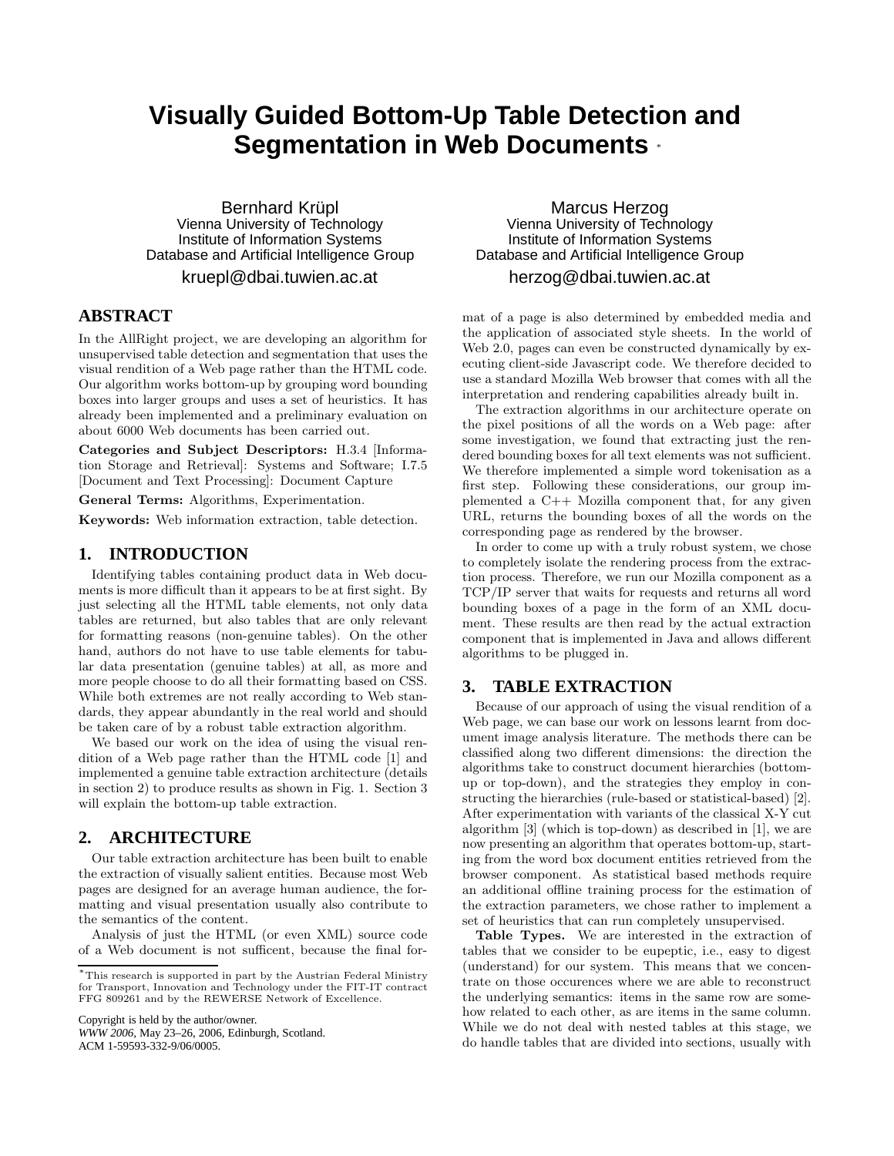# **Visually Guided Bottom-Up Table Detection and Segmentation in Web Documents** <sup>∗</sup>

Bernhard Krüpl Vienna University of Technology Institute of Information Systems Database and Artificial Intelligence Group

kruepl@dbai.tuwien.ac.at

# **ABSTRACT**

In the AllRight project, we are developing an algorithm for unsupervised table detection and segmentation that uses the visual rendition of a Web page rather than the HTML code. Our algorithm works bottom-up by grouping word bounding boxes into larger groups and uses a set of heuristics. It has already been implemented and a preliminary evaluation on about 6000 Web documents has been carried out.

Categories and Subject Descriptors: H.3.4 [Information Storage and Retrieval]: Systems and Software; I.7.5 [Document and Text Processing]: Document Capture

General Terms: Algorithms, Experimentation.

Keywords: Web information extraction, table detection.

#### **1. INTRODUCTION**

Identifying tables containing product data in Web documents is more difficult than it appears to be at first sight. By just selecting all the HTML table elements, not only data tables are returned, but also tables that are only relevant for formatting reasons (non-genuine tables). On the other hand, authors do not have to use table elements for tabular data presentation (genuine tables) at all, as more and more people choose to do all their formatting based on CSS. While both extremes are not really according to Web standards, they appear abundantly in the real world and should be taken care of by a robust table extraction algorithm.

We based our work on the idea of using the visual rendition of a Web page rather than the HTML code [1] and implemented a genuine table extraction architecture (details in section 2) to produce results as shown in Fig. 1. Section 3 will explain the bottom-up table extraction.

# **2. ARCHITECTURE**

Our table extraction architecture has been built to enable the extraction of visually salient entities. Because most Web pages are designed for an average human audience, the formatting and visual presentation usually also contribute to the semantics of the content.

Analysis of just the HTML (or even XML) source code of a Web document is not sufficent, because the final for-

Copyright is held by the author/owner.

*WWW 2006,* May 23–26, 2006, Edinburgh, Scotland. ACM 1-59593-332-9/06/0005.

Marcus Herzog Vienna University of Technology Institute of Information Systems Database and Artificial Intelligence Group herzog@dbai.tuwien.ac.at

mat of a page is also determined by embedded media and the application of associated style sheets. In the world of Web 2.0, pages can even be constructed dynamically by executing client-side Javascript code. We therefore decided to use a standard Mozilla Web browser that comes with all the interpretation and rendering capabilities already built in.

The extraction algorithms in our architecture operate on the pixel positions of all the words on a Web page: after some investigation, we found that extracting just the rendered bounding boxes for all text elements was not sufficient. We therefore implemented a simple word tokenisation as a first step. Following these considerations, our group implemented a  $C++$  Mozilla component that, for any given URL, returns the bounding boxes of all the words on the corresponding page as rendered by the browser.

In order to come up with a truly robust system, we chose to completely isolate the rendering process from the extraction process. Therefore, we run our Mozilla component as a TCP/IP server that waits for requests and returns all word bounding boxes of a page in the form of an XML document. These results are then read by the actual extraction component that is implemented in Java and allows different algorithms to be plugged in.

## **3. TABLE EXTRACTION**

Because of our approach of using the visual rendition of a Web page, we can base our work on lessons learnt from document image analysis literature. The methods there can be classified along two different dimensions: the direction the algorithms take to construct document hierarchies (bottomup or top-down), and the strategies they employ in constructing the hierarchies (rule-based or statistical-based) [2]. After experimentation with variants of the classical X-Y cut algorithm [3] (which is top-down) as described in [1], we are now presenting an algorithm that operates bottom-up, starting from the word box document entities retrieved from the browser component. As statistical based methods require an additional offline training process for the estimation of the extraction parameters, we chose rather to implement a set of heuristics that can run completely unsupervised.

Table Types. We are interested in the extraction of tables that we consider to be eupeptic, i.e., easy to digest (understand) for our system. This means that we concentrate on those occurences where we are able to reconstruct the underlying semantics: items in the same row are somehow related to each other, as are items in the same column. While we do not deal with nested tables at this stage, we do handle tables that are divided into sections, usually with

<sup>∗</sup>This research is supported in part by the Austrian Federal Ministry for Transport, Innovation and Technology under the FIT-IT contract FFG 809261 and by the REWERSE Network of Excellence.